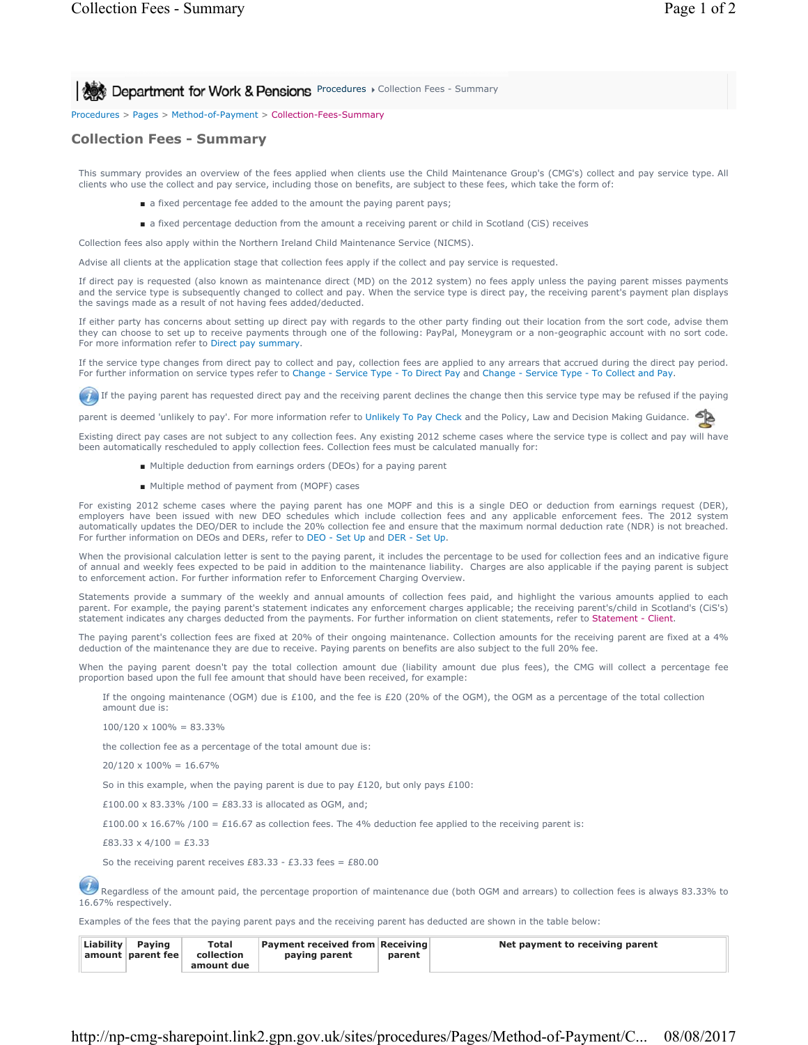**Procedures > Collection Fees - Summary** 

Procedures > Pages > Method-of-Payment > Collection-Fees-Summary

## **Collection Fees - Summary**

This summary provides an overview of the fees applied when clients use the Child Maintenance Group's (CMG's) collect and pay service type. All clients who use the collect and pay service, including those on benefits, are subject to these fees, which take the form of:

- a fixed percentage fee added to the amount the paying parent pays;
- a fixed percentage deduction from the amount a receiving parent or child in Scotland (CiS) receives

Collection fees also apply within the Northern Ireland Child Maintenance Service (NICMS).

Advise all clients at the application stage that collection fees apply if the collect and pay service is requested.

If direct pay is requested (also known as maintenance direct (MD) on the 2012 system) no fees apply unless the paying parent misses payments and the service type is subsequently changed to collect and pay. When the service type is direct pay, the receiving parent's payment plan displays the savings made as a result of not having fees added/deducted.

If either party has concerns about setting up direct pay with regards to the other party finding out their location from the sort code, advise them they can choose to set up to receive payments through one of the following: PayPal, Moneygram or a non-geographic account with no sort code. For more information refer to Direct pay summary.

If the service type changes from direct pay to collect and pay, collection fees are applied to any arrears that accrued during the direct pay period. For further information on service types refer to Change - Service Type - To Direct Pay and Change - Service Type - To Collect and Pay.

If the paying parent has requested direct pay and the receiving parent declines the change then this service type may be refused if the paying

parent is deemed 'unlikely to pay'. For more information refer to Unlikely To Pay Check and the Policy, Law and Decision Making Guidance.

Existing direct pay cases are not subject to any collection fees. Any existing 2012 scheme cases where the service type is collect and pay will have been automatically rescheduled to apply collection fees. Collection fees must be calculated manually for:

- Multiple deduction from earnings orders (DEOs) for a paying parent
- Multiple method of payment from (MOPF) cases

For existing 2012 scheme cases where the paying parent has one MOPF and this is a single DEO or deduction from earnings request (DER), employers have been issued with new DEO schedules which include collection fees and any applicable enforcement fees. The 2012 system automatically updates the DEO/DER to include the 20% collection fee and ensure that the maximum normal deduction rate (NDR) is not breached. For further information on DEOs and DERs, refer to DEO - Set Up and DER - Set Up.

When the provisional calculation letter is sent to the paying parent, it includes the percentage to be used for collection fees and an indicative figure of annual and weekly fees expected to be paid in addition to the maintenance liability. Charges are also applicable if the paying parent is subject to enforcement action. For further information refer to Enforcement Charging Overview.

Statements provide a summary of the weekly and annual amounts of collection fees paid, and highlight the various amounts applied to each parent. For example, the paying parent's statement indicates any enforcement charges applicable; the receiving parent's/child in Scotland's (CiS's) statement indicates any charges deducted from the payments. For further information on client statements, refer to Statement - Client.

The paying parent's collection fees are fixed at 20% of their ongoing maintenance. Collection amounts for the receiving parent are fixed at a 4% deduction of the maintenance they are due to receive. Paying parents on benefits are also subject to the full 20% fee.

When the paying parent doesn't pay the total collection amount due (liability amount due plus fees), the CMG will collect a percentage fee proportion based upon the full fee amount that should have been received, for example:

If the ongoing maintenance (OGM) due is £100, and the fee is £20 (20% of the OGM), the OGM as a percentage of the total collection amount due is:

 $100/120 \times 100\% = 83.33\%$ 

the collection fee as a percentage of the total amount due is:

 $20/120 \times 100\% = 16.67\%$ 

So in this example, when the paying parent is due to pay £120, but only pays £100:

£100.00 x 83.33% /100 = £83.33 is allocated as OGM, and;

£100.00 x 16.67% /100 = £16.67 as collection fees. The 4% deduction fee applied to the receiving parent is:

 $£83.33 \times 4/100 = £3.33$ 

So the receiving parent receives £83.33 - £3.33 fees = £80.00

Regardless of the amount paid, the percentage proportion of maintenance due (both OGM and arrears) to collection fees is always 83.33% to 16.67% respectively.

Examples of the fees that the paying parent pays and the receiving parent has deducted are shown in the table below:

| Liability | Paving<br>amount   parent fee | <b>Total</b><br>collection<br>amount due | <b>Payment received from Receiving</b><br>paying parent | parent | Net payment to receiving parent |
|-----------|-------------------------------|------------------------------------------|---------------------------------------------------------|--------|---------------------------------|
|-----------|-------------------------------|------------------------------------------|---------------------------------------------------------|--------|---------------------------------|